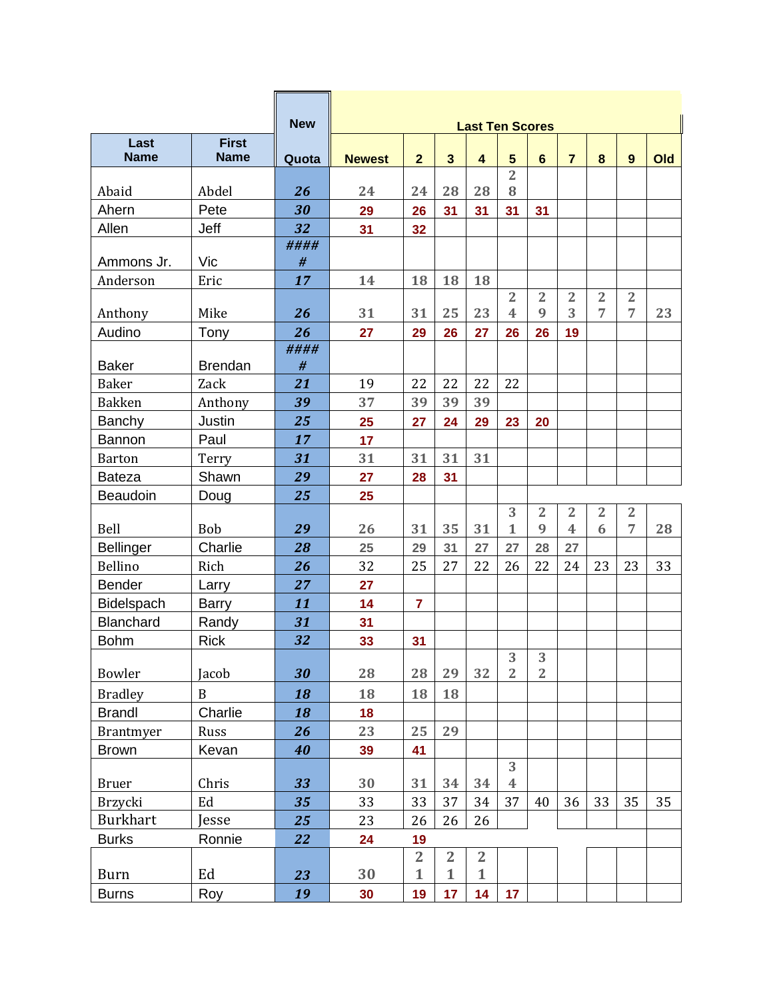|                           |                   | <b>New</b> |               |                      |                 | <b>Last Ten Scores</b> |                         |                |                         |                |                |     |
|---------------------------|-------------------|------------|---------------|----------------------|-----------------|------------------------|-------------------------|----------------|-------------------------|----------------|----------------|-----|
| Last                      | <b>First</b>      |            |               |                      |                 |                        |                         |                |                         |                |                |     |
| <b>Name</b>               | <b>Name</b>       | Quota      | <b>Newest</b> | $\overline{2}$       | $\mathbf{3}$    | $\overline{4}$         | $5\phantom{1}$          | $6\phantom{1}$ | $\overline{7}$          | 8              | 9              | Old |
| Abaid                     | Abdel             | 26         | 24            | 24                   | 28              | 28                     | $\overline{2}$<br>8     |                |                         |                |                |     |
| Ahern                     | Pete              | 30         | 29            | 26                   | 31              | 31                     | 31                      | 31             |                         |                |                |     |
| Allen                     | Jeff              | 32         | 31            | 32                   |                 |                        |                         |                |                         |                |                |     |
|                           |                   | ####       |               |                      |                 |                        |                         |                |                         |                |                |     |
| Ammons Jr.                | Vic               | #          |               |                      |                 |                        |                         |                |                         |                |                |     |
| Anderson                  | Eric              | 17         | 14            | 18                   | 18              | 18                     |                         |                |                         |                |                |     |
|                           |                   |            |               |                      |                 |                        | $\overline{2}$          | $\overline{2}$ | 2                       | $\overline{2}$ | $\overline{2}$ |     |
| Anthony                   | Mike              | 26         | 31            | 31                   | 25              | 23                     | $\overline{\mathbf{4}}$ | 9              | 3                       | 7              | 7              | 23  |
| Audino                    | Tony              | 26         | 27            | 29                   | 26              | 27                     | 26                      | 26             | 19                      |                |                |     |
|                           |                   | ####       |               |                      |                 |                        |                         |                |                         |                |                |     |
| <b>Baker</b>              | <b>Brendan</b>    | #          |               |                      |                 |                        |                         |                |                         |                |                |     |
| <b>Baker</b>              | Zack              | 21         | 19            | 22                   | 22<br>39        | 22                     | 22                      |                |                         |                |                |     |
| <b>Bakken</b>             | Anthony<br>Justin | 39         | 37            | 39                   |                 | 39                     |                         |                |                         |                |                |     |
| Banchy<br>Bannon          | Paul              | 25<br>17   | 25            | 27                   | 24              | 29                     | 23                      | 20             |                         |                |                |     |
|                           |                   | 31         | 17<br>31      | 31                   | 31              | 31                     |                         |                |                         |                |                |     |
| <b>Barton</b>             | Terry             |            |               |                      |                 |                        |                         |                |                         |                |                |     |
| <b>Bateza</b><br>Beaudoin | Shawn             | 29         | 27            | 28                   | 31              |                        |                         |                |                         |                |                |     |
|                           | Doug              | 25         | 25            |                      |                 |                        | 3                       | $\overline{2}$ | $\overline{2}$          | $\overline{2}$ | $\overline{2}$ |     |
| Bell                      | Bob               | 29         | 26            | 31                   | 35              | 31                     | $\mathbf{1}$            | 9              | $\overline{\mathbf{4}}$ | 6              | 7              | 28  |
| <b>Bellinger</b>          | Charlie           | 28         | 25            | 29                   | 31              | 27                     | 27                      | 28             | 27                      |                |                |     |
| Bellino                   | Rich              | 26         | 32            | 25                   | 27              | 22                     | 26                      | 22             | 24                      | 23             | 23             | 33  |
| Bender                    | Larry             | 27         | 27            |                      |                 |                        |                         |                |                         |                |                |     |
| Bidelspach                | <b>Barry</b>      | 11         | 14            | $\overline{7}$       |                 |                        |                         |                |                         |                |                |     |
| <b>Blanchard</b>          | Randy             | 31         | 31            |                      |                 |                        |                         |                |                         |                |                |     |
| <b>Bohm</b>               | <b>Rick</b>       | 32         | 33            | 31                   |                 |                        |                         |                |                         |                |                |     |
|                           |                   |            |               |                      |                 |                        | 3                       | 3              |                         |                |                |     |
| Bowler                    | Jacob             | 30         | 28            | 28                   | 29              | 32                     | $\overline{2}$          | $\overline{2}$ |                         |                |                |     |
| <b>Bradley</b>            | $\mathbf B$       | 18         | 18            | 18                   | 18              |                        |                         |                |                         |                |                |     |
| <b>Brandl</b>             | Charlie           | 18         | 18            |                      |                 |                        |                         |                |                         |                |                |     |
| Brantmyer                 | Russ              | 26         | 23            | 25                   | 29              |                        |                         |                |                         |                |                |     |
| <b>Brown</b>              | Kevan             | 40         | 39            | 41                   |                 |                        |                         |                |                         |                |                |     |
|                           |                   |            |               |                      |                 |                        | 3                       |                |                         |                |                |     |
| <b>Bruer</b>              | Chris             | 33         | 30            | 31                   | 34              | 34                     | $\overline{\mathbf{4}}$ |                |                         |                |                |     |
| Brzycki                   | Ed                | 35         | 33            | 33                   | 37              | 34                     | 37                      | 40             | 36                      | 33             | 35             | 35  |
| Burkhart                  | Jesse             | 25         | 23            | 26                   | 26              | 26                     |                         |                |                         |                |                |     |
| <b>Burks</b>              | Ronnie            | 22         | 24            | 19<br>$\overline{2}$ | $\overline{2}$  | $\overline{2}$         |                         |                |                         |                |                |     |
| <b>Burn</b>               | Ed                | 23         | 30            | $\mathbf{1}$         | $\mathbf{1}$    | $\mathbf{1}$           |                         |                |                         |                |                |     |
| <b>Burns</b>              | Roy               | 19         | 30            | 19                   | 17 <sub>2</sub> | 14                     | 17                      |                |                         |                |                |     |
|                           |                   |            |               |                      |                 |                        |                         |                |                         |                |                |     |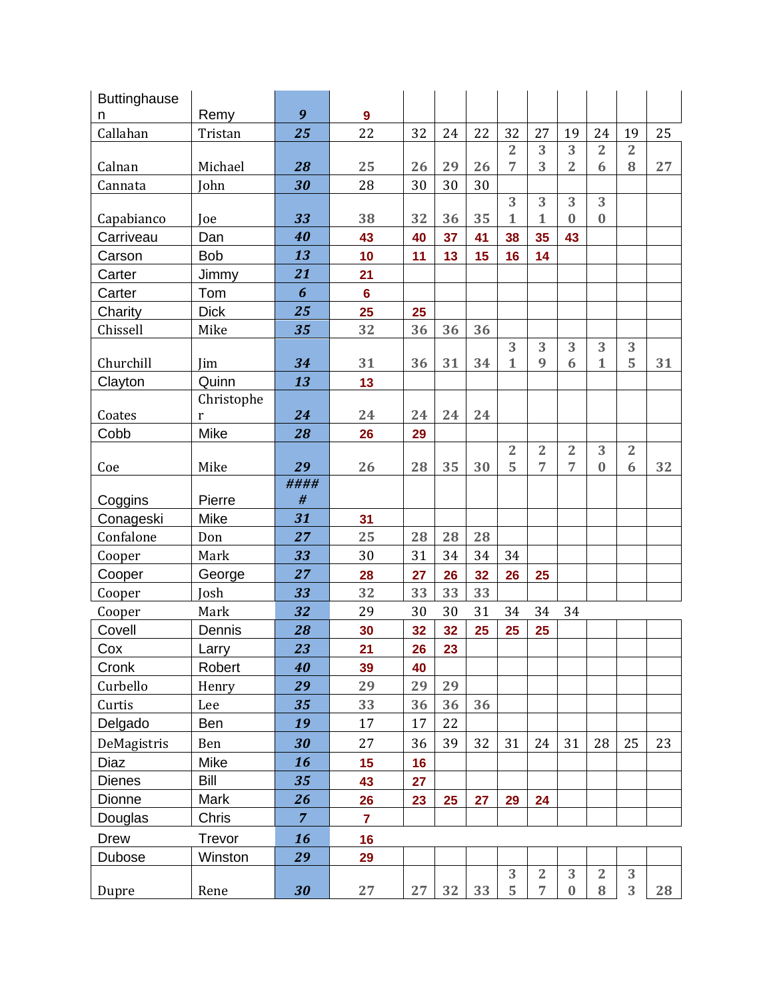| <b>Buttinghause</b> |             |                |                  |    |    |    |                     |                                  |                |                |                |    |
|---------------------|-------------|----------------|------------------|----|----|----|---------------------|----------------------------------|----------------|----------------|----------------|----|
| n                   | Remy        | 9              | $\boldsymbol{9}$ |    |    |    |                     |                                  |                |                |                |    |
| Callahan            | Tristan     | 25             | 22               | 32 | 24 | 22 | 32                  | 27                               | 19             | 24             | 19             | 25 |
|                     |             |                |                  |    |    |    | $\overline{2}$      | 3                                | 3              | $\overline{2}$ | $\overline{2}$ |    |
| Calnan              | Michael     | 28             | 25               | 26 | 29 | 26 | 7                   | 3                                | $\overline{2}$ | 6              | 8              | 27 |
| Cannata             | John        | 30             | 28               | 30 | 30 | 30 |                     |                                  |                |                |                |    |
| Capabianco          | Joe         | 33             | 38               | 32 | 36 | 35 | 3<br>1              | 3<br>1                           | 3<br>$\bf{0}$  | 3<br>$\bf{0}$  |                |    |
| Carriveau           | Dan         | 40             | 43               | 40 | 37 | 41 | 38                  | 35                               | 43             |                |                |    |
| Carson              | <b>Bob</b>  | 13             | 10               | 11 | 13 | 15 | 16                  | 14                               |                |                |                |    |
| Carter              | Jimmy       | 21             | 21               |    |    |    |                     |                                  |                |                |                |    |
| Carter              | Tom         | 6              | $6\phantom{a}$   |    |    |    |                     |                                  |                |                |                |    |
| Charity             | <b>Dick</b> | 25             | 25               | 25 |    |    |                     |                                  |                |                |                |    |
| Chissell            | Mike        | 35             | 32               | 36 | 36 | 36 |                     |                                  |                |                |                |    |
|                     |             |                |                  |    |    |    | 3                   | 3                                | 3              | 3              | 3              |    |
| Churchill           | Jim         | 34             | 31               | 36 | 31 | 34 | $\mathbf{1}$        | 9                                | 6              | $\mathbf{1}$   | 5              | 31 |
| Clayton             | Quinn       | 13             | 13               |    |    |    |                     |                                  |                |                |                |    |
|                     | Christophe  |                |                  |    |    |    |                     |                                  |                |                |                |    |
| Coates              | r           | 24             | 24               | 24 | 24 | 24 |                     |                                  |                |                |                |    |
| Cobb                | Mike        | 28             | 26               | 29 |    |    |                     |                                  |                |                |                |    |
|                     |             |                |                  |    |    |    | $\overline{2}$<br>5 | $\overline{2}$<br>$\overline{7}$ | $\overline{2}$ | 3              | $\overline{2}$ |    |
| Coe                 | Mike        | 29<br>####     | 26               | 28 | 35 | 30 |                     |                                  | 7              | $\bf{0}$       | 6              | 32 |
| Coggins             | Pierre      | #              |                  |    |    |    |                     |                                  |                |                |                |    |
| Conageski           | Mike        | 31             | 31               |    |    |    |                     |                                  |                |                |                |    |
| Confalone           | Don         | 27             | 25               | 28 | 28 | 28 |                     |                                  |                |                |                |    |
| Cooper              | Mark        | 33             | 30               | 31 | 34 | 34 | 34                  |                                  |                |                |                |    |
| Cooper              | George      | 27             | 28               | 27 | 26 | 32 | 26                  | 25                               |                |                |                |    |
| Cooper              | Josh        | 33             | 32               | 33 | 33 | 33 |                     |                                  |                |                |                |    |
| Cooper              | Mark        | 32             | 29               | 30 | 30 | 31 | 34                  | 34                               | 34             |                |                |    |
| Covell              | Dennis      | 28             | 30               | 32 | 32 | 25 | 25                  | 25                               |                |                |                |    |
| Cox                 | Larry       | 23             | 21               | 26 | 23 |    |                     |                                  |                |                |                |    |
| Cronk               | Robert      | 40             | 39               | 40 |    |    |                     |                                  |                |                |                |    |
| Curbello            | Henry       | 29             | 29               | 29 | 29 |    |                     |                                  |                |                |                |    |
| Curtis              | Lee         | 35             | 33               | 36 | 36 | 36 |                     |                                  |                |                |                |    |
| Delgado             | Ben         | 19             | 17               | 17 | 22 |    |                     |                                  |                |                |                |    |
| DeMagistris         | Ben         | 30             | 27               | 36 | 39 | 32 | 31                  | 24                               | 31             | 28             | 25             | 23 |
| Diaz                | Mike        | 16             | 15               | 16 |    |    |                     |                                  |                |                |                |    |
| <b>Dienes</b>       | <b>Bill</b> | 35             | 43               | 27 |    |    |                     |                                  |                |                |                |    |
| Dionne              | Mark        | 26             | 26               | 23 | 25 | 27 | 29                  | 24                               |                |                |                |    |
| Douglas             | Chris       | $\overline{7}$ | $\overline{7}$   |    |    |    |                     |                                  |                |                |                |    |
| Drew                | Trevor      | 16             | 16               |    |    |    |                     |                                  |                |                |                |    |
| Dubose              | Winston     | 29             | 29               |    |    |    |                     |                                  |                |                |                |    |
|                     |             |                |                  |    |    |    | 3                   | $\overline{2}$                   | 3              | $\overline{2}$ | 3              |    |
| Dupre               | Rene        | 30             | 27               | 27 | 32 | 33 | 5                   | 7                                | $\bf{0}$       | $\bf 8$        | 3              | 28 |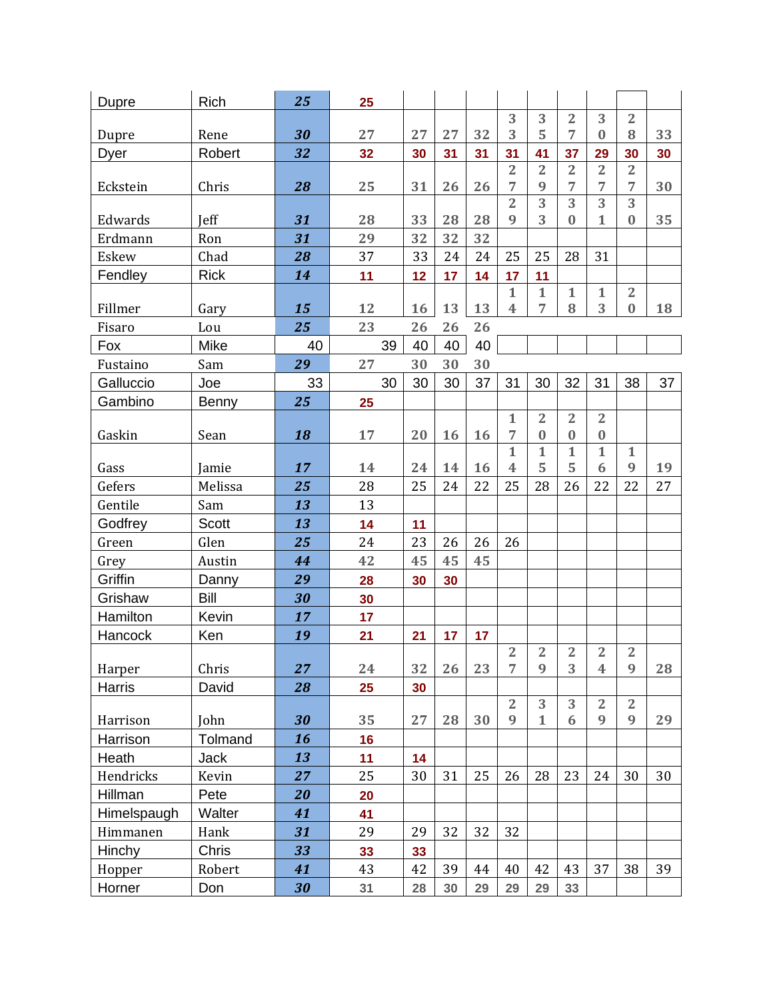| Dupre       | Rich         | 25 | 25 |    |    |    |                                |                     |                     |                         |                     |    |
|-------------|--------------|----|----|----|----|----|--------------------------------|---------------------|---------------------|-------------------------|---------------------|----|
|             |              |    |    |    |    |    | 3                              | 3                   | $\overline{2}$      | 3                       | $\overline{2}$      |    |
| Dupre       | Rene         | 30 | 27 | 27 | 27 | 32 | 3                              | 5                   | 7                   | $\bf{0}$                | 8                   | 33 |
| Dyer        | Robert       | 32 | 32 | 30 | 31 | 31 | 31                             | 41                  | 37                  | 29                      | 30                  | 30 |
| Eckstein    | Chris        | 28 | 25 | 31 | 26 | 26 | $\overline{2}$<br>7            | $\overline{2}$<br>9 | $\overline{2}$<br>7 | $\overline{2}$<br>7     | $\overline{2}$<br>7 | 30 |
|             |              |    |    |    |    |    | $\overline{2}$                 | $\overline{3}$      | $\overline{3}$      | $\overline{3}$          | $\overline{3}$      |    |
| Edwards     | Jeff         | 31 | 28 | 33 | 28 | 28 | 9                              | 3                   | 0                   | $\mathbf{1}$            | $\bf{0}$            | 35 |
| Erdmann     | Ron          | 31 | 29 | 32 | 32 | 32 |                                |                     |                     |                         |                     |    |
| Eskew       | Chad         | 28 | 37 | 33 | 24 | 24 | 25                             | 25                  | 28                  | 31                      |                     |    |
| Fendley     | <b>Rick</b>  | 14 | 11 | 12 | 17 | 14 | 17                             | 11                  |                     |                         |                     |    |
|             |              |    |    |    |    |    | $\mathbf{1}$                   | $\mathbf{1}$        | $\mathbf 1$         | $\mathbf{1}$            | $\overline{2}$      |    |
| Fillmer     | Gary         | 15 | 12 | 16 | 13 | 13 | $\overline{\mathbf{4}}$        | 7                   | 8                   | 3                       | $\bf{0}$            | 18 |
| Fisaro      | Lou          | 25 | 23 | 26 | 26 | 26 |                                |                     |                     |                         |                     |    |
| Fox         | Mike         | 40 | 39 | 40 | 40 | 40 |                                |                     |                     |                         |                     |    |
| Fustaino    | Sam          | 29 | 27 | 30 | 30 | 30 |                                |                     |                     |                         |                     |    |
| Galluccio   | Joe          | 33 | 30 | 30 | 30 | 37 | 31                             | 30                  | 32                  | 31                      | 38                  | 37 |
| Gambino     | Benny        | 25 | 25 |    |    |    |                                |                     |                     |                         |                     |    |
|             |              |    |    |    |    |    | $\mathbf{1}$                   | $\overline{2}$      | $\overline{2}$      | $\overline{2}$          |                     |    |
| Gaskin      | Sean         | 18 | 17 | 20 | 16 | 16 | 7                              | $\bf{0}$            | $\bf{0}$            | $\bf{0}$                |                     |    |
|             |              |    |    | 24 | 14 | 16 | $\mathbf{1}$<br>$\overline{4}$ | $\mathbf{1}$<br>5   | $\mathbf 1$<br>5    | $\mathbf{1}$<br>6       | $\mathbf{1}$<br>9   |    |
| Gass        | Jamie        | 17 | 14 |    |    | 22 |                                |                     |                     |                         |                     | 19 |
| Gefers      | Melissa      | 25 | 28 | 25 | 24 |    | 25                             | 28                  | 26                  | 22                      | 22                  | 27 |
| Gentile     | Sam          | 13 | 13 |    |    |    |                                |                     |                     |                         |                     |    |
| Godfrey     | <b>Scott</b> | 13 | 14 | 11 |    |    |                                |                     |                     |                         |                     |    |
| Green       | Glen         | 25 | 24 | 23 | 26 | 26 | 26                             |                     |                     |                         |                     |    |
| Grey        | Austin       | 44 | 42 | 45 | 45 | 45 |                                |                     |                     |                         |                     |    |
| Griffin     | Danny        | 29 | 28 | 30 | 30 |    |                                |                     |                     |                         |                     |    |
| Grishaw     | Bill         | 30 | 30 |    |    |    |                                |                     |                     |                         |                     |    |
| Hamilton    | Kevin        | 17 | 17 |    |    |    |                                |                     |                     |                         |                     |    |
| Hancock     | Ken          | 19 | 21 | 21 | 17 | 17 | $\overline{2}$                 | $\overline{2}$      | 2                   | $\overline{2}$          | $\overline{2}$      |    |
| Harper      | Chris        | 27 | 24 | 32 | 26 | 23 | $\overline{7}$                 | 9                   | 3                   | $\overline{\mathbf{4}}$ | 9                   | 28 |
| Harris      | David        | 28 | 25 | 30 |    |    |                                |                     |                     |                         |                     |    |
|             |              |    |    |    |    |    | $\overline{2}$                 | 3                   | 3                   | $\overline{2}$          | $\overline{2}$      |    |
| Harrison    | John         | 30 | 35 | 27 | 28 | 30 | 9                              | $\mathbf{1}$        | 6                   | 9                       | 9                   | 29 |
| Harrison    | Tolmand      | 16 | 16 |    |    |    |                                |                     |                     |                         |                     |    |
| Heath       | Jack         | 13 | 11 | 14 |    |    |                                |                     |                     |                         |                     |    |
| Hendricks   | Kevin        | 27 | 25 | 30 | 31 | 25 | 26                             | 28                  | 23                  | 24                      | 30                  | 30 |
| Hillman     | Pete         | 20 | 20 |    |    |    |                                |                     |                     |                         |                     |    |
| Himelspaugh | Walter       | 41 | 41 |    |    |    |                                |                     |                     |                         |                     |    |
| Himmanen    | Hank         | 31 | 29 | 29 | 32 | 32 | 32                             |                     |                     |                         |                     |    |
| Hinchy      | Chris        | 33 | 33 | 33 |    |    |                                |                     |                     |                         |                     |    |
| Hopper      | Robert       | 41 | 43 | 42 | 39 | 44 | 40                             | 42                  | 43                  | 37                      | 38                  | 39 |
| Horner      | Don          | 30 | 31 | 28 | 30 | 29 | 29                             | 29                  | 33                  |                         |                     |    |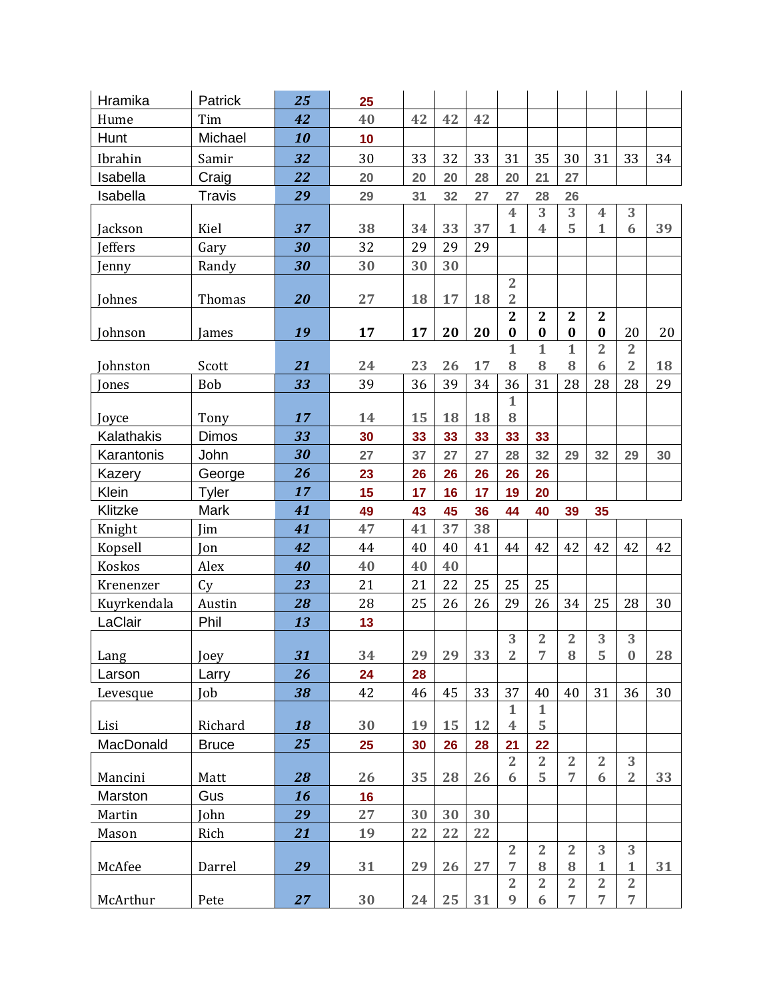| Hramika      | Patrick       | 25 | 25 |    |    |    |                            |                          |                            |                                  |                                  |    |
|--------------|---------------|----|----|----|----|----|----------------------------|--------------------------|----------------------------|----------------------------------|----------------------------------|----|
| Hume         | Tim           | 42 | 40 | 42 | 42 | 42 |                            |                          |                            |                                  |                                  |    |
| Hunt         | Michael       | 10 | 10 |    |    |    |                            |                          |                            |                                  |                                  |    |
| Ibrahin      | Samir         | 32 | 30 | 33 | 32 | 33 | 31                         | 35                       | 30                         | 31                               | 33                               | 34 |
| Isabella     | Craig         | 22 | 20 | 20 | 20 | 28 | 20                         | 21                       | 27                         |                                  |                                  |    |
| Isabella     | <b>Travis</b> | 29 | 29 | 31 | 32 | 27 | 27                         | 28                       | 26                         |                                  |                                  |    |
|              |               |    |    |    |    |    | 4                          | 3                        | 3                          | $\overline{\mathbf{4}}$          | 3                                |    |
| Jackson      | Kiel          | 37 | 38 | 34 | 33 | 37 | $\mathbf{1}$               | $\overline{\mathbf{4}}$  | 5                          | $\mathbf{1}$                     | 6                                | 39 |
| Jeffers      | Gary          | 30 | 32 | 29 | 29 | 29 |                            |                          |                            |                                  |                                  |    |
| Jenny        | Randy         | 30 | 30 | 30 | 30 |    |                            |                          |                            |                                  |                                  |    |
|              |               |    |    |    |    |    | $\overline{2}$             |                          |                            |                                  |                                  |    |
| Johnes       | Thomas        | 20 | 27 | 18 | 17 | 18 | $\overline{2}$             |                          |                            |                                  |                                  |    |
|              |               | 19 | 17 | 17 | 20 | 20 | $\overline{2}$<br>$\bf{0}$ | $\mathbf{2}$<br>$\bf{0}$ | $\overline{2}$<br>$\bf{0}$ | $\mathbf{2}$<br>$\bf{0}$         | 20                               | 20 |
| Johnson      | James         |    |    |    |    |    | $\mathbf{1}$               | $\mathbf{1}$             | $\mathbf{1}$               | $\overline{2}$                   | $\overline{2}$                   |    |
| Johnston     | Scott         | 21 | 24 | 23 | 26 | 17 | 8                          | 8                        | 8                          | 6                                | $\overline{2}$                   | 18 |
| <b>Jones</b> | Bob           | 33 | 39 | 36 | 39 | 34 | 36                         | 31                       | 28                         | 28                               | 28                               | 29 |
|              |               |    |    |    |    |    | 1                          |                          |                            |                                  |                                  |    |
| Joyce        | Tony          | 17 | 14 | 15 | 18 | 18 | 8                          |                          |                            |                                  |                                  |    |
| Kalathakis   | <b>Dimos</b>  | 33 | 30 | 33 | 33 | 33 | 33                         | 33                       |                            |                                  |                                  |    |
| Karantonis   | John          | 30 | 27 | 37 | 27 | 27 | 28                         | 32                       | 29                         | 32                               | 29                               | 30 |
| Kazery       | George        | 26 | 23 | 26 | 26 | 26 | 26                         | 26                       |                            |                                  |                                  |    |
| Klein        | Tyler         | 17 | 15 | 17 | 16 | 17 | 19                         | 20                       |                            |                                  |                                  |    |
|              |               |    |    |    |    |    |                            |                          |                            |                                  |                                  |    |
| Klitzke      | Mark          | 41 | 49 | 43 | 45 | 36 | 44                         | 40                       | 39                         | 35                               |                                  |    |
| Knight       | Jim           | 41 | 47 | 41 | 37 | 38 |                            |                          |                            |                                  |                                  |    |
| Kopsell      | Jon           | 42 | 44 | 40 | 40 | 41 | 44                         | 42                       | 42                         | 42                               | 42                               | 42 |
| Koskos       | Alex          | 40 | 40 | 40 | 40 |    |                            |                          |                            |                                  |                                  |    |
| Krenenzer    | Cy            | 23 | 21 | 21 | 22 | 25 | 25                         | 25                       |                            |                                  |                                  |    |
| Kuyrkendala  | Austin        | 28 | 28 | 25 | 26 | 26 | 29                         | 26                       | 34                         | 25                               | 28                               | 30 |
| LaClair      | Phil          | 13 | 13 |    |    |    |                            |                          |                            |                                  |                                  |    |
|              |               |    |    |    |    |    | 3                          | $\overline{2}$           | $\sqrt{2}$                 | 3                                | 3                                |    |
| Lang         | Joey          | 31 | 34 | 29 | 29 | 33 | $\overline{2}$             | $\overline{7}$           | $\bf 8$                    | 5                                | $\pmb{0}$                        | 28 |
| Larson       | Larry         | 26 | 24 | 28 |    |    |                            |                          |                            |                                  |                                  |    |
| Levesque     | Job           | 38 | 42 | 46 | 45 | 33 | 37                         | 40                       | 40                         | 31                               | 36                               | 30 |
|              |               |    |    |    |    |    | $\mathbf{1}$               | $\mathbf{1}$             |                            |                                  |                                  |    |
| Lisi         | Richard       | 18 | 30 | 19 | 15 | 12 | $\overline{\mathbf{4}}$    | 5                        |                            |                                  |                                  |    |
| MacDonald    | <b>Bruce</b>  | 25 | 25 | 30 | 26 | 28 | 21                         | 22                       |                            |                                  |                                  |    |
|              |               |    |    |    |    |    | $\overline{2}$             | $\overline{2}$           | $\overline{2}$             | $\overline{2}$                   | 3                                |    |
| Mancini      | Matt          | 28 | 26 | 35 | 28 | 26 | 6                          | 5                        | 7                          | 6                                | $\overline{2}$                   | 33 |
| Marston      | Gus           | 16 | 16 |    |    |    |                            |                          |                            |                                  |                                  |    |
| Martin       | John          | 29 | 27 | 30 | 30 | 30 |                            |                          |                            |                                  |                                  |    |
| Mason        | Rich          | 21 | 19 | 22 | 22 | 22 | $\overline{2}$             | $\overline{2}$           | $\overline{2}$             | 3                                | 3                                |    |
| McAfee       | Darrel        | 29 | 31 | 29 | 26 | 27 | 7                          | 8                        | 8                          | $\mathbf{1}$                     | $\mathbf{1}$                     | 31 |
|              |               |    | 30 | 24 | 25 | 31 | $\overline{2}$<br>9        | $\overline{2}$<br>6      | $\overline{2}$<br>7        | $\overline{2}$<br>$\overline{7}$ | $\overline{2}$<br>$\overline{7}$ |    |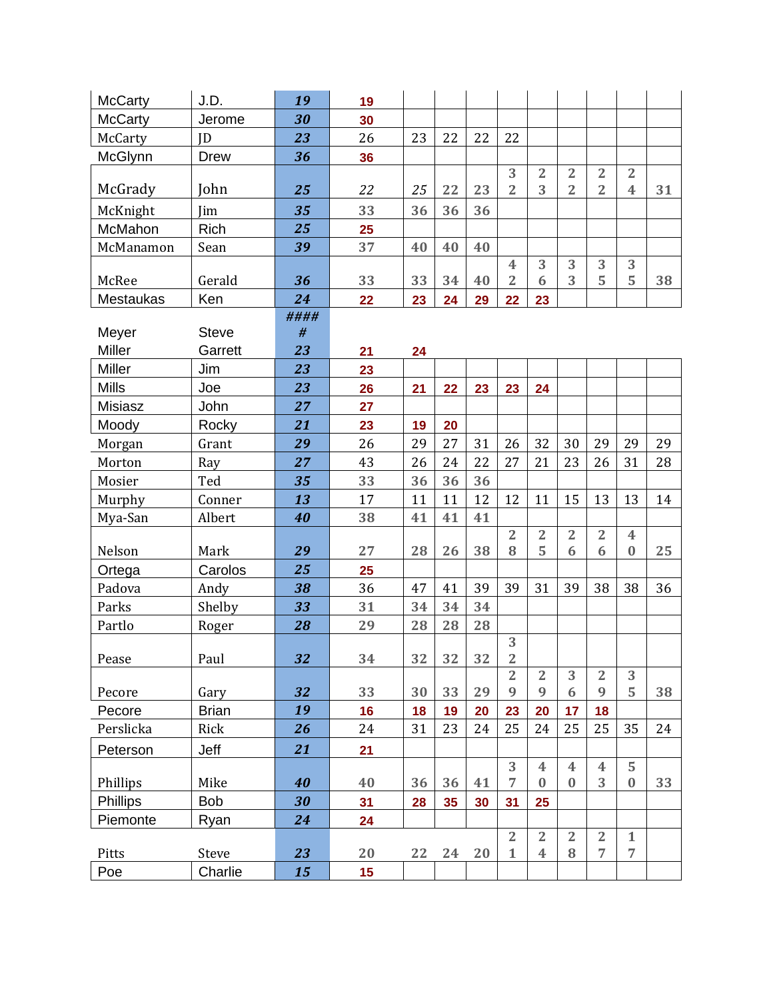| <b>McCarty</b>   | J.D.                 | 19        | 19 |    |    |    |                     |                         |                |                     |                         |    |
|------------------|----------------------|-----------|----|----|----|----|---------------------|-------------------------|----------------|---------------------|-------------------------|----|
| <b>McCarty</b>   | Jerome               | 30        | 30 |    |    |    |                     |                         |                |                     |                         |    |
| McCarty          | <b>JD</b>            | 23        | 26 | 23 | 22 | 22 | 22                  |                         |                |                     |                         |    |
| McGlynn          | Drew                 | 36        | 36 |    |    |    |                     |                         |                |                     |                         |    |
|                  |                      |           |    |    |    |    | 3                   | $\overline{2}$          | $\overline{2}$ | $\overline{2}$      | $\overline{2}$          |    |
| McGrady          | John                 | 25        | 22 | 25 | 22 | 23 | $\overline{2}$      | 3                       | $\overline{2}$ | $\overline{2}$      | $\overline{\mathbf{4}}$ | 31 |
| McKnight         | Jim                  | 35        | 33 | 36 | 36 | 36 |                     |                         |                |                     |                         |    |
| McMahon          | <b>Rich</b>          | 25        | 25 |    |    |    |                     |                         |                |                     |                         |    |
| McManamon        | Sean                 | 39        | 37 | 40 | 40 | 40 |                     |                         |                |                     |                         |    |
|                  |                      |           |    |    |    |    | 4                   | 3                       | 3              | 3                   | 3                       |    |
| McRee            | Gerald               | 36        | 33 | 33 | 34 | 40 | $\overline{2}$      | 6                       | 3              | 5                   | 5                       | 38 |
| <b>Mestaukas</b> | Ken                  | 24        | 22 | 23 | 24 | 29 | 22                  | 23                      |                |                     |                         |    |
| Meyer            | <b>Steve</b>         | ####<br># |    |    |    |    |                     |                         |                |                     |                         |    |
| Miller           | Garrett              | 23        | 21 | 24 |    |    |                     |                         |                |                     |                         |    |
| <b>Miller</b>    | Jim                  | 23        | 23 |    |    |    |                     |                         |                |                     |                         |    |
| <b>Mills</b>     | Joe                  | 23        | 26 | 21 | 22 | 23 | 23                  | 24                      |                |                     |                         |    |
| Misiasz          | John                 | 27        | 27 |    |    |    |                     |                         |                |                     |                         |    |
| Moody            | Rocky                | 21        | 23 | 19 | 20 |    |                     |                         |                |                     |                         |    |
| Morgan           | Grant                | 29        | 26 | 29 | 27 | 31 | 26                  | 32                      | 30             | 29                  | 29                      | 29 |
| Morton           | Ray                  | 27        | 43 | 26 | 24 | 22 | 27                  | 21                      | 23             | 26                  | 31                      | 28 |
| Mosier           | Ted                  | 35        | 33 | 36 | 36 | 36 |                     |                         |                |                     |                         |    |
| Murphy           | Conner               | 13        | 17 | 11 | 11 | 12 | 12                  | 11                      | 15             | 13                  | 13                      | 14 |
| Mya-San          | Albert               | 40        | 38 | 41 | 41 | 41 |                     |                         |                |                     |                         |    |
|                  |                      |           |    |    |    |    | $\overline{2}$      | $\overline{2}$          | $\overline{2}$ | $\overline{2}$      | $\overline{\mathbf{4}}$ |    |
| Nelson           | Mark                 | 29        | 27 | 28 | 26 | 38 | 8                   | 5                       | 6              | 6                   | $\bf{0}$                | 25 |
| Ortega           | Carolos              | 25        | 25 |    |    |    |                     |                         |                |                     |                         |    |
| Padova           | Andy                 | 38        | 36 | 47 | 41 | 39 | 39                  | 31                      | 39             | 38                  | 38                      | 36 |
| Parks            | Shelby               | 33        | 31 | 34 | 34 | 34 |                     |                         |                |                     |                         |    |
| Partlo           | Roger                | 28        | 29 | 28 | 28 | 28 |                     |                         |                |                     |                         |    |
|                  |                      |           |    |    |    |    | 3                   |                         |                |                     |                         |    |
| Pease            | Paul                 | 32        | 34 | 32 | 32 | 32 | 2                   |                         |                |                     |                         |    |
| Pecore           |                      | 32        | 33 | 30 | 33 | 29 | $\overline{2}$<br>9 | $\overline{2}$<br>9     | 3<br>6         | $\overline{2}$<br>9 | 3<br>5                  | 38 |
| Pecore           | Gary<br><b>Brian</b> | 19        | 16 | 18 | 19 | 20 | 23                  | 20                      | 17             | 18                  |                         |    |
| Perslicka        | Rick                 | 26        | 24 | 31 | 23 | 24 | 25                  | 24                      | 25             | 25                  | 35                      | 24 |
|                  |                      |           |    |    |    |    |                     |                         |                |                     |                         |    |
| Peterson         | Jeff                 | 21        | 21 |    |    |    | 3                   | 4                       | 4              | $\overline{4}$      | 5                       |    |
| Phillips         | Mike                 | 40        | 40 | 36 | 36 | 41 | $\overline{7}$      | $\bf{0}$                | $\bf{0}$       | 3                   | $\bf{0}$                | 33 |
| Phillips         | <b>Bob</b>           | 30        | 31 | 28 | 35 | 30 | 31                  | 25                      |                |                     |                         |    |
| Piemonte         | Ryan                 | 24        | 24 |    |    |    |                     |                         |                |                     |                         |    |
|                  |                      |           |    |    |    |    | $\overline{2}$      | $\overline{2}$          | $\overline{2}$ | $\overline{2}$      | $\mathbf{1}$            |    |
| Pitts            | Steve                | 23        | 20 | 22 | 24 | 20 | $\mathbf{1}$        | $\overline{\mathbf{4}}$ | 8              | 7                   | $\overline{7}$          |    |
| Poe              | Charlie              | 15        | 15 |    |    |    |                     |                         |                |                     |                         |    |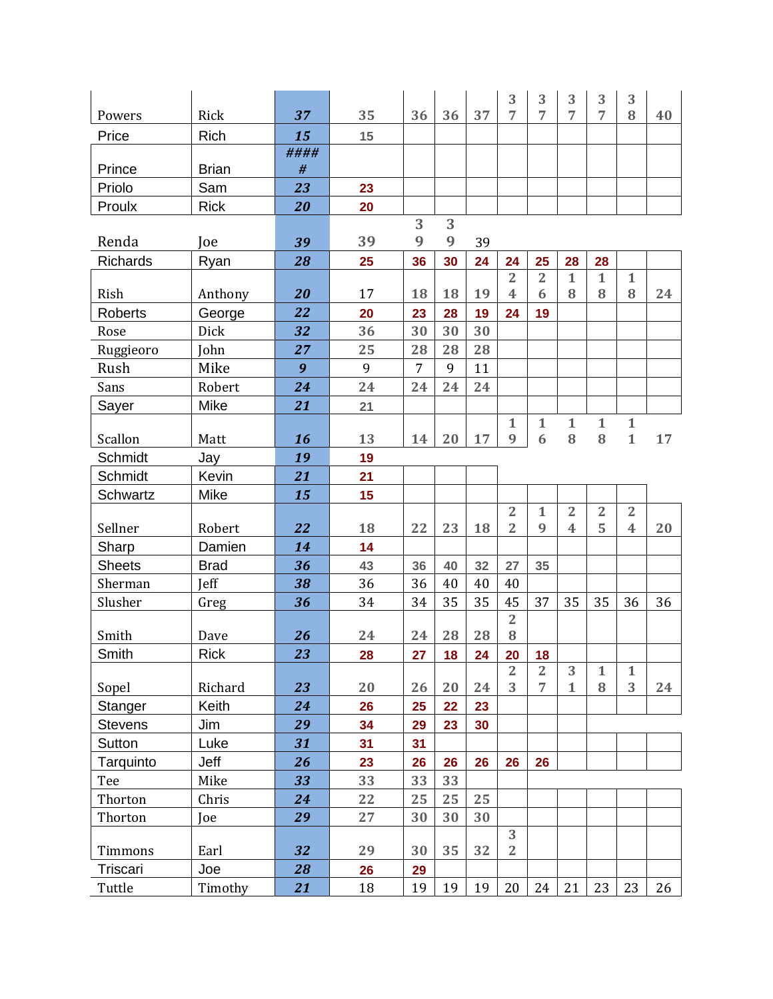|                 |              |      |    |                |    |    | 3                                | 3                    | 3                 | 3                 | 3                       |    |
|-----------------|--------------|------|----|----------------|----|----|----------------------------------|----------------------|-------------------|-------------------|-------------------------|----|
| Powers          | Rick         | 37   | 35 | 36             | 36 | 37 | 7                                | 7                    | 7                 | $\overline{7}$    | 8                       | 40 |
| Price           | Rich         | 15   | 15 |                |    |    |                                  |                      |                   |                   |                         |    |
|                 |              | #### |    |                |    |    |                                  |                      |                   |                   |                         |    |
| Prince          | <b>Brian</b> | $\#$ |    |                |    |    |                                  |                      |                   |                   |                         |    |
| Priolo          | Sam          | 23   | 23 |                |    |    |                                  |                      |                   |                   |                         |    |
| Proulx          | <b>Rick</b>  | 20   | 20 |                |    |    |                                  |                      |                   |                   |                         |    |
|                 |              |      |    | 3              | 3  |    |                                  |                      |                   |                   |                         |    |
| Renda           | Joe          | 39   | 39 | 9              | 9  | 39 |                                  |                      |                   |                   |                         |    |
| <b>Richards</b> | Ryan         | 28   | 25 | 36             | 30 | 24 | 24                               | 25                   | 28                | 28                |                         |    |
| Rish            | Anthony      | 20   | 17 | 18             | 18 | 19 | $\overline{2}$<br>$\overline{4}$ | $\overline{2}$<br>6  | $\mathbf{1}$<br>8 | $\mathbf{1}$<br>8 | $\mathbf{1}$<br>8       | 24 |
| <b>Roberts</b>  | George       | 22   | 20 | 23             | 28 | 19 | 24                               | 19                   |                   |                   |                         |    |
| Rose            | Dick         | 32   | 36 | 30             | 30 | 30 |                                  |                      |                   |                   |                         |    |
| Ruggieoro       | John         | 27   | 25 | 28             | 28 | 28 |                                  |                      |                   |                   |                         |    |
| Rush            | Mike         | 9    | 9  | $\overline{7}$ | 9  | 11 |                                  |                      |                   |                   |                         |    |
| Sans            | Robert       | 24   | 24 | 24             | 24 | 24 |                                  |                      |                   |                   |                         |    |
| Sayer           | Mike         | 21   | 21 |                |    |    |                                  |                      |                   |                   |                         |    |
|                 |              |      |    |                |    |    | 1                                | $\mathbf{1}$         | $\mathbf 1$       | $\mathbf 1$       | $\mathbf{1}$            |    |
| Scallon         | Matt         | 16   | 13 | 14             | 20 | 17 | 9                                | 6                    | 8                 | 8                 | $\mathbf{1}$            | 17 |
| Schmidt         | Jay          | 19   | 19 |                |    |    |                                  |                      |                   |                   |                         |    |
| Schmidt         | Kevin        | 21   | 21 |                |    |    |                                  |                      |                   |                   |                         |    |
| Schwartz        | Mike         | 15   | 15 |                |    |    |                                  |                      |                   |                   |                         |    |
|                 |              |      |    |                |    |    | $\overline{2}$                   | $\mathbf{1}$         | $\overline{2}$    | $\overline{2}$    | $\overline{2}$          |    |
| Sellner         | Robert       | 22   | 18 | 22             | 23 | 18 | $\overline{2}$                   | 9                    | 4                 | 5                 | $\overline{\mathbf{4}}$ | 20 |
| Sharp           | Damien       | 14   | 14 |                |    |    |                                  |                      |                   |                   |                         |    |
| <b>Sheets</b>   | <b>Brad</b>  | 36   | 43 | 36             | 40 | 32 | 27                               | 35                   |                   |                   |                         |    |
| Sherman         | Jeff         | 38   | 36 | 36             | 40 | 40 | 40                               |                      |                   |                   |                         |    |
| Slusher         | Greg         | 36   | 34 | 34             | 35 | 35 | 45                               | 37                   | 35                | 35                | 36                      | 36 |
|                 |              |      |    |                |    |    | $\overline{2}$                   |                      |                   |                   |                         |    |
| Smith           | Dave         | 26   | 24 | 24             | 28 | 28 | $\bf 8$                          |                      |                   |                   |                         |    |
| Smith           | <b>Rick</b>  | 23   | 28 | 27             | 18 | 24 | 20<br>$\overline{2}$             | 18<br>$\overline{2}$ | 3                 | $\mathbf{1}$      | $\mathbf{1}$            |    |
| Sopel           | Richard      | 23   | 20 | 26             | 20 | 24 | 3                                | 7                    | $\mathbf{1}$      | ${\bf 8}$         | 3                       | 24 |
| Stanger         | Keith        | 24   | 26 | 25             | 22 | 23 |                                  |                      |                   |                   |                         |    |
| <b>Stevens</b>  | Jim          | 29   | 34 | 29             | 23 | 30 |                                  |                      |                   |                   |                         |    |
| Sutton          | Luke         | 31   | 31 | 31             |    |    |                                  |                      |                   |                   |                         |    |
| Tarquinto       | Jeff         | 26   | 23 | 26             | 26 | 26 | 26                               | 26                   |                   |                   |                         |    |
| Tee             | Mike         | 33   | 33 | 33             | 33 |    |                                  |                      |                   |                   |                         |    |
| Thorton         | Chris        | 24   | 22 | 25             | 25 | 25 |                                  |                      |                   |                   |                         |    |
| Thorton         | Joe          | 29   | 27 | 30             | 30 | 30 |                                  |                      |                   |                   |                         |    |
|                 |              |      |    |                |    |    | 3                                |                      |                   |                   |                         |    |
| Timmons         | Earl         | 32   | 29 | 30             | 35 | 32 | $\overline{2}$                   |                      |                   |                   |                         |    |
| Triscari        | Joe          | 28   | 26 | 29             |    |    |                                  |                      |                   |                   |                         |    |
| Tuttle          | Timothy      | 21   | 18 | 19             | 19 | 19 | 20                               | 24                   | 21                | 23                | 23                      | 26 |